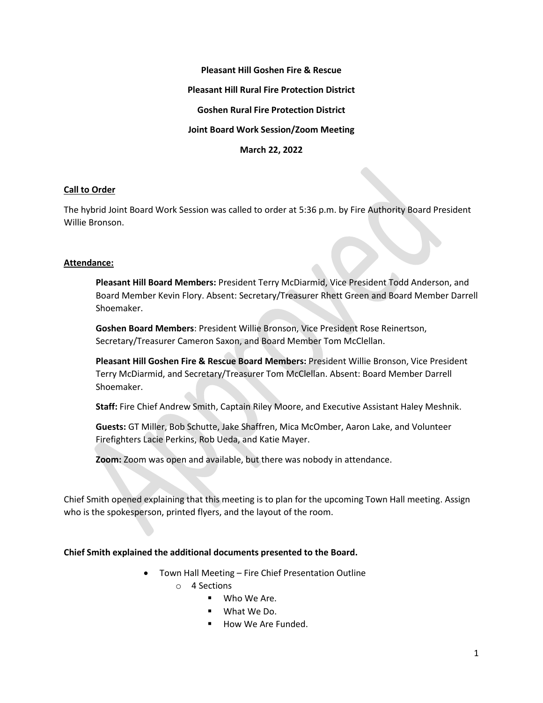**Pleasant Hill Goshen Fire & Rescue Pleasant Hill Rural Fire Protection District Goshen Rural Fire Protection District Joint Board Work Session/Zoom Meeting March 22, 2022**

## **Call to Order**

The hybrid Joint Board Work Session was called to order at 5:36 p.m. by Fire Authority Board President Willie Bronson.

## **Attendance:**

**Pleasant Hill Board Members:** President Terry McDiarmid, Vice President Todd Anderson, and Board Member Kevin Flory. Absent: Secretary/Treasurer Rhett Green and Board Member Darrell Shoemaker.

**Goshen Board Members**: President Willie Bronson, Vice President Rose Reinertson, Secretary/Treasurer Cameron Saxon, and Board Member Tom McClellan.

**Pleasant Hill Goshen Fire & Rescue Board Members:** President Willie Bronson, Vice President Terry McDiarmid, and Secretary/Treasurer Tom McClellan. Absent: Board Member Darrell Shoemaker.

**Staff:** Fire Chief Andrew Smith, Captain Riley Moore, and Executive Assistant Haley Meshnik.

**Guests:** GT Miller, Bob Schutte, Jake Shaffren, Mica McOmber, Aaron Lake, and Volunteer Firefighters Lacie Perkins, Rob Ueda, and Katie Mayer.

**Zoom:** Zoom was open and available, but there was nobody in attendance.

Chief Smith opened explaining that this meeting is to plan for the upcoming Town Hall meeting. Assign who is the spokesperson, printed flyers, and the layout of the room.

## **Chief Smith explained the additional documents presented to the Board.**

• Town Hall Meeting – Fire Chief Presentation Outline

o 4 Sections

- Who We Are.
- What We Do.
- How We Are Funded.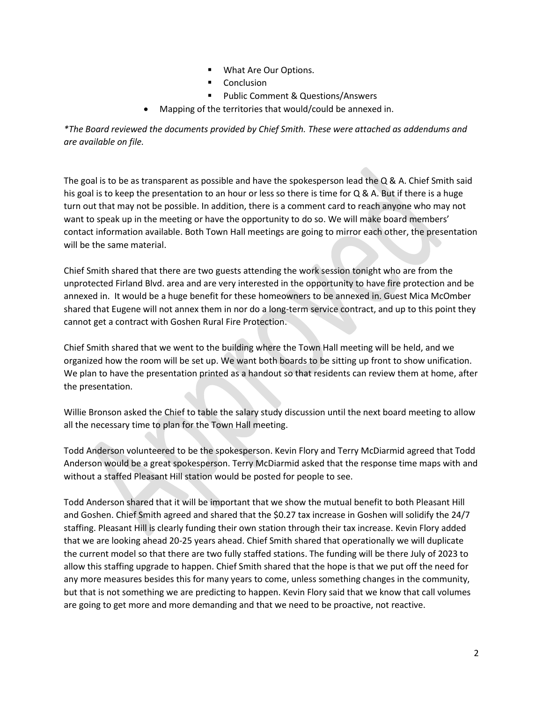- What Are Our Options.
- Conclusion
- Public Comment & Questions/Answers
- Mapping of the territories that would/could be annexed in.

*\*The Board reviewed the documents provided by Chief Smith. These were attached as addendums and are available on file.* 

The goal is to be as transparent as possible and have the spokesperson lead the  $Q$  & A. Chief Smith said his goal is to keep the presentation to an hour or less so there is time for Q & A. But if there is a huge turn out that may not be possible. In addition, there is a comment card to reach anyone who may not want to speak up in the meeting or have the opportunity to do so. We will make board members' contact information available. Both Town Hall meetings are going to mirror each other, the presentation will be the same material.

Chief Smith shared that there are two guests attending the work session tonight who are from the unprotected Firland Blvd. area and are very interested in the opportunity to have fire protection and be annexed in. It would be a huge benefit for these homeowners to be annexed in. Guest Mica McOmber shared that Eugene will not annex them in nor do a long-term service contract, and up to this point they cannot get a contract with Goshen Rural Fire Protection.

Chief Smith shared that we went to the building where the Town Hall meeting will be held, and we organized how the room will be set up. We want both boards to be sitting up front to show unification. We plan to have the presentation printed as a handout so that residents can review them at home, after the presentation.

Willie Bronson asked the Chief to table the salary study discussion until the next board meeting to allow all the necessary time to plan for the Town Hall meeting.

Todd Anderson volunteered to be the spokesperson. Kevin Flory and Terry McDiarmid agreed that Todd Anderson would be a great spokesperson. Terry McDiarmid asked that the response time maps with and without a staffed Pleasant Hill station would be posted for people to see.

Todd Anderson shared that it will be important that we show the mutual benefit to both Pleasant Hill and Goshen. Chief Smith agreed and shared that the \$0.27 tax increase in Goshen will solidify the 24/7 staffing. Pleasant Hill is clearly funding their own station through their tax increase. Kevin Flory added that we are looking ahead 20-25 years ahead. Chief Smith shared that operationally we will duplicate the current model so that there are two fully staffed stations. The funding will be there July of 2023 to allow this staffing upgrade to happen. Chief Smith shared that the hope is that we put off the need for any more measures besides this for many years to come, unless something changes in the community, but that is not something we are predicting to happen. Kevin Flory said that we know that call volumes are going to get more and more demanding and that we need to be proactive, not reactive.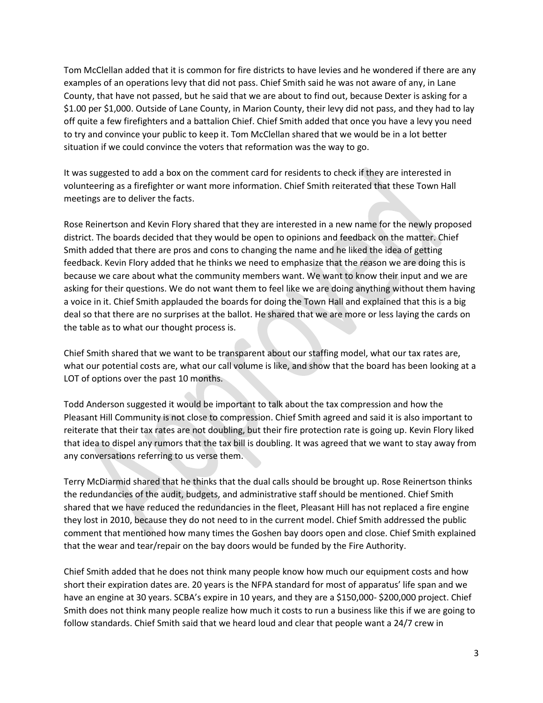Tom McClellan added that it is common for fire districts to have levies and he wondered if there are any examples of an operations levy that did not pass. Chief Smith said he was not aware of any, in Lane County, that have not passed, but he said that we are about to find out, because Dexter is asking for a \$1.00 per \$1,000. Outside of Lane County, in Marion County, their levy did not pass, and they had to lay off quite a few firefighters and a battalion Chief. Chief Smith added that once you have a levy you need to try and convince your public to keep it. Tom McClellan shared that we would be in a lot better situation if we could convince the voters that reformation was the way to go.

It was suggested to add a box on the comment card for residents to check if they are interested in volunteering as a firefighter or want more information. Chief Smith reiterated that these Town Hall meetings are to deliver the facts.

Rose Reinertson and Kevin Flory shared that they are interested in a new name for the newly proposed district. The boards decided that they would be open to opinions and feedback on the matter. Chief Smith added that there are pros and cons to changing the name and he liked the idea of getting feedback. Kevin Flory added that he thinks we need to emphasize that the reason we are doing this is because we care about what the community members want. We want to know their input and we are asking for their questions. We do not want them to feel like we are doing anything without them having a voice in it. Chief Smith applauded the boards for doing the Town Hall and explained that this is a big deal so that there are no surprises at the ballot. He shared that we are more or less laying the cards on the table as to what our thought process is.

Chief Smith shared that we want to be transparent about our staffing model, what our tax rates are, what our potential costs are, what our call volume is like, and show that the board has been looking at a LOT of options over the past 10 months.

Todd Anderson suggested it would be important to talk about the tax compression and how the Pleasant Hill Community is not close to compression. Chief Smith agreed and said it is also important to reiterate that their tax rates are not doubling, but their fire protection rate is going up. Kevin Flory liked that idea to dispel any rumors that the tax bill is doubling. It was agreed that we want to stay away from any conversations referring to us verse them.

Terry McDiarmid shared that he thinks that the dual calls should be brought up. Rose Reinertson thinks the redundancies of the audit, budgets, and administrative staff should be mentioned. Chief Smith shared that we have reduced the redundancies in the fleet, Pleasant Hill has not replaced a fire engine they lost in 2010, because they do not need to in the current model. Chief Smith addressed the public comment that mentioned how many times the Goshen bay doors open and close. Chief Smith explained that the wear and tear/repair on the bay doors would be funded by the Fire Authority.

Chief Smith added that he does not think many people know how much our equipment costs and how short their expiration dates are. 20 years is the NFPA standard for most of apparatus' life span and we have an engine at 30 years. SCBA's expire in 10 years, and they are a \$150,000- \$200,000 project. Chief Smith does not think many people realize how much it costs to run a business like this if we are going to follow standards. Chief Smith said that we heard loud and clear that people want a 24/7 crew in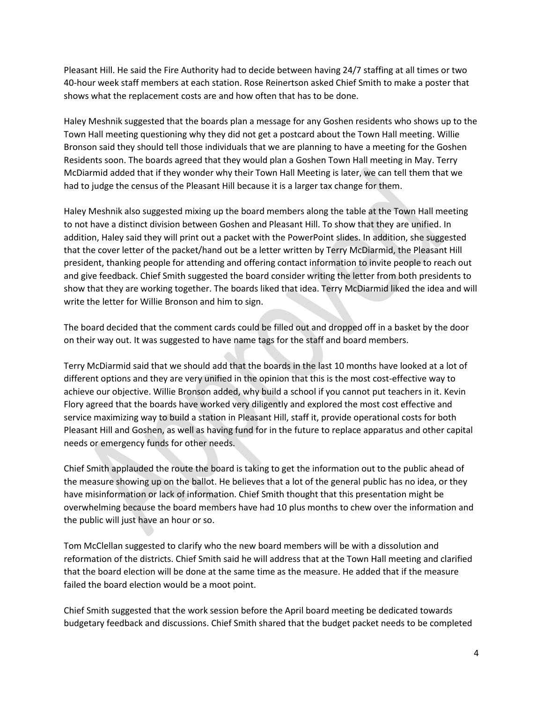Pleasant Hill. He said the Fire Authority had to decide between having 24/7 staffing at all times or two 40-hour week staff members at each station. Rose Reinertson asked Chief Smith to make a poster that shows what the replacement costs are and how often that has to be done.

Haley Meshnik suggested that the boards plan a message for any Goshen residents who shows up to the Town Hall meeting questioning why they did not get a postcard about the Town Hall meeting. Willie Bronson said they should tell those individuals that we are planning to have a meeting for the Goshen Residents soon. The boards agreed that they would plan a Goshen Town Hall meeting in May. Terry McDiarmid added that if they wonder why their Town Hall Meeting is later, we can tell them that we had to judge the census of the Pleasant Hill because it is a larger tax change for them.

Haley Meshnik also suggested mixing up the board members along the table at the Town Hall meeting to not have a distinct division between Goshen and Pleasant Hill. To show that they are unified. In addition, Haley said they will print out a packet with the PowerPoint slides. In addition, she suggested that the cover letter of the packet/hand out be a letter written by Terry McDiarmid, the Pleasant Hill president, thanking people for attending and offering contact information to invite people to reach out and give feedback. Chief Smith suggested the board consider writing the letter from both presidents to show that they are working together. The boards liked that idea. Terry McDiarmid liked the idea and will write the letter for Willie Bronson and him to sign.

The board decided that the comment cards could be filled out and dropped off in a basket by the door on their way out. It was suggested to have name tags for the staff and board members.

Terry McDiarmid said that we should add that the boards in the last 10 months have looked at a lot of different options and they are very unified in the opinion that this is the most cost-effective way to achieve our objective. Willie Bronson added, why build a school if you cannot put teachers in it. Kevin Flory agreed that the boards have worked very diligently and explored the most cost effective and service maximizing way to build a station in Pleasant Hill, staff it, provide operational costs for both Pleasant Hill and Goshen, as well as having fund for in the future to replace apparatus and other capital needs or emergency funds for other needs.

Chief Smith applauded the route the board is taking to get the information out to the public ahead of the measure showing up on the ballot. He believes that a lot of the general public has no idea, or they have misinformation or lack of information. Chief Smith thought that this presentation might be overwhelming because the board members have had 10 plus months to chew over the information and the public will just have an hour or so.

Tom McClellan suggested to clarify who the new board members will be with a dissolution and reformation of the districts. Chief Smith said he will address that at the Town Hall meeting and clarified that the board election will be done at the same time as the measure. He added that if the measure failed the board election would be a moot point.

Chief Smith suggested that the work session before the April board meeting be dedicated towards budgetary feedback and discussions. Chief Smith shared that the budget packet needs to be completed